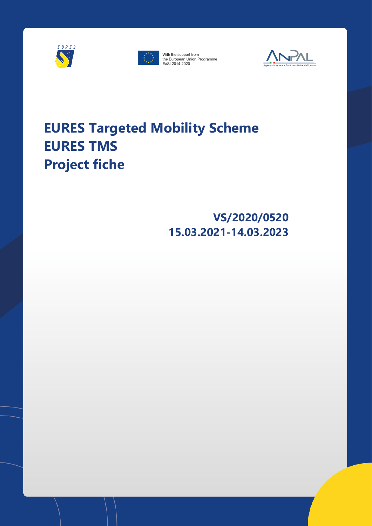



With the support from the European Union Programme<br>EaSI 2014-2020



# **EURES Targeted Mobility Scheme EURES TMS Project fiche**

# **VS/2020/0520 15.03.2021-14.03.2023**

EURES Targeted mobility scheme project fiche 1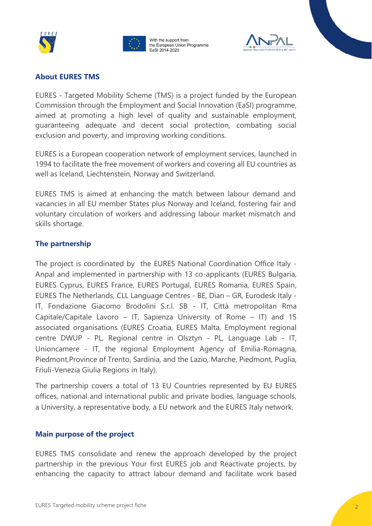





### **About EURES TMS**

EURES - Targeted Mobility Scheme (TMS) is a project funded by the European Commission through the [Employment and Social Innovation \(EaSI\) programme,](http://eur-lex.europa.eu/LexUriServ/LexUriServ.do?uri=OJ:L:2013:347:0238:0252:EN:PDF)  aimed at promoting a high level of quality and sustainable employment, guaranteeing adequate and decent social protection, combating social exclusion and poverty, and improving working conditions.

EURES is a European cooperation network of employment services, launched in 1994 to facilitate the free movement of workers and covering all EU countries as well as Iceland, Liechtenstein, Norway and Switzerland.

EURES TMS is aimed at enhancing the match between labour demand and vacancies in all EU member States plus Norway and Iceland, fostering fair and voluntary circulation of workers and addressing labour market mismatch and skills shortage.

# **The partnership**

The project is coordinated by the EURES National Coordination Office Italy - Anpal and implemented in partnership with 13 co-applicants (EURES Bulgaria, EURES Cyprus, EURES France, EURES Portugal, EURES Romania, EURES Spain, EURES The Netherlands, CLL Language Centres - BE, Dian – GR, Eurodesk Italy - IT, Fondazione Giacomo Brodolini S.r.l. SB - IT, Città metropolitan Rma Capitale/Capitale Lavoro – IT, Sapienza University of Rome – IT) and 15 associated organisations (EURES Croatia, EURES Malta, Employment regional centre DWUP - PL, Regional centre in Olsztyn - PL, Language Lab - IT, Unioncamere - IT, the regional Employment Agency of Emilia-Romagna, Piedmont,Province of Trento, Sardinia, and the Lazio, Marche, Piedmont, Puglia, Friuli-Venezia Giulia Regions in Italy).

The partnership covers a total of 13 EU Countries represented by EU EURES offices, national and international public and private bodies, language schools, a University, a representative body, a EU network and the EURES Italy network.

#### **Main purpose of the project**

EURES TMS consolidate and renew the approach developed by the project partnership in the previous Your first EURES job and Reactivate projects, by enhancing the capacity to attract labour demand and facilitate work based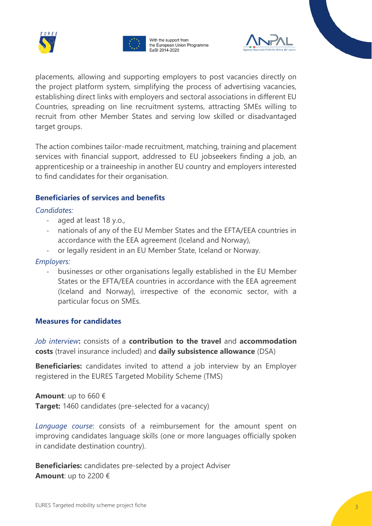





placements, allowing and supporting employers to post vacancies directly on the project platform system, simplifying the process of advertising vacancies, establishing direct links with employers and sectoral associations in different EU Countries, spreading on line recruitment systems, attracting SMEs willing to recruit from other Member States and serving low skilled or disadvantaged target groups.

The action combines tailor-made recruitment, matching, training and placement services with financial support, addressed to EU jobseekers finding a job, an apprenticeship or a traineeship in another EU country and employers interested to find candidates for their organisation.

#### **Beneficiaries of services and benefits**

*Candidates:*

- aged at least 18 y.o.,
- nationals of any of the EU Member States and the EFTA/EEA countries in accordance with the EEA agreement (Iceland and Norway),
- or legally resident in an EU Member State, Iceland or Norway.

#### *Employers:*

- businesses or other organisations legally established in the EU Member States or the EFTA/EEA countries in accordance with the EEA agreement (Iceland and Norway), irrespective of the economic sector, with a particular focus on SMEs.

#### **Measures for candidates**

*Job interview***:** consists of a **contribution to the travel** and **accommodation costs** (travel insurance included) and **daily subsistence allowance** (DSA)

**Beneficiaries:** candidates invited to attend a job interview by an Employer registered in the EURES Targeted Mobility Scheme (TMS)

**Amount**: up to 660 € **Target:** 1460 candidates (pre-selected for a vacancy)

*Language course*: consists of a reimbursement for the amount spent on improving candidates language skills (one or more languages officially spoken in candidate destination country).

**Beneficiaries:** candidates pre-selected by a project Adviser **Amount**: up to 2200 €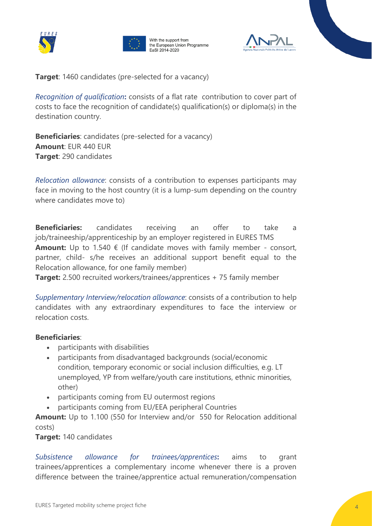

With the support from the European Union Programme EaSI 2014-2020



**Target:** 1460 candidates (pre-selected for a vacancy)

*Recognition of qualification***:** consists of a flat rate contribution to cover part of costs to face the recognition of candidate(s) qualification(s) or diploma(s) in the destination country.

**Beneficiaries**: candidates (pre-selected for a vacancy) **Amount**: EUR 440 EUR **Target**: 290 candidates

*Relocation allowance*: consists of a contribution to expenses participants may face in moving to the host country (it is a lump-sum depending on the country where candidates move to)

**Beneficiaries:** candidates receiving an offer to take a job/traineeship/apprenticeship by an employer registered in EURES TMS **Amount:** Up to 1.540 € (If candidate moves with family member - consort, partner, child- s/he receives an additional support benefit equal to the Relocation allowance, for one family member)

**Target:** 2.500 recruited workers/trainees/apprentices + 75 family member

*Supplementary Interview/relocation allowance*: consists of a contribution to help candidates with any extraordinary expenditures to face the interview or relocation costs.

#### **Beneficiaries**:

- participants with disabilities
- participants from disadvantaged backgrounds (social/economic condition, temporary economic or social inclusion difficulties, e.g. LT unemployed, YP from welfare/youth care institutions, ethnic minorities, other)
- participants coming from EU outermost regions
- participants coming from EU/EEA peripheral Countries

**Amount:** Up to 1.100 (550 for Interview and/or 550 for Relocation additional costs)

**Target:** 140 candidates

*Subsistence allowance for trainees/apprentices***:** aims to grant trainees/apprentices a complementary income whenever there is a proven difference between the trainee/apprentice actual remuneration/compensation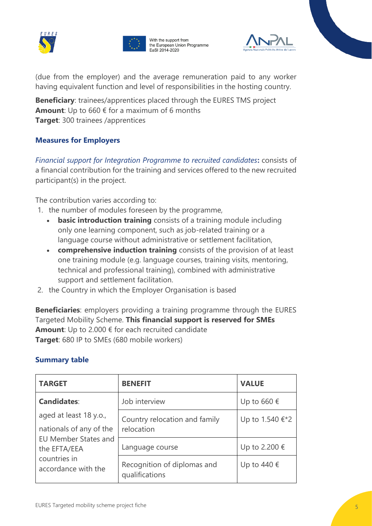

With the support from the European Union Programme EaSI 2014-2020



(due from the employer) and the average remuneration paid to any worker having equivalent function and level of responsibilities in the hosting country.

**Beneficiary**: trainees/apprentices placed through the EURES TMS project **Amount**: Up to 660 € for a maximum of 6 months **Target**: 300 trainees /apprentices

# **Measures for Employers**

*Financial support for Integration Programme to recruited candidates***:** consists of a financial contribution for the training and services offered to the new recruited participant(s) in the project.

The contribution varies according to:

- 1. the number of modules foreseen by the programme,
	- **basic introduction training** consists of a training module including only one learning component, such as job-related training or a language course without administrative or settlement facilitation,
	- **comprehensive induction training** consists of the provision of at least one training module (e.g. language courses, training visits, mentoring, technical and professional training), combined with administrative support and settlement facilitation.
- 2. the Country in which the Employer Organisation is based

**Beneficiaries**: employers providing a training programme through the EURES Targeted Mobility Scheme. **This financial support is reserved for SMEs Amount**: Up to 2.000 € for each recruited candidate **Target**: 680 IP to SMEs (680 mobile workers)

# **Summary table**

| <b>TARGET</b>                                                                                                                           | <b>BENEFIT</b>                                | <b>VALUE</b>    |
|-----------------------------------------------------------------------------------------------------------------------------------------|-----------------------------------------------|-----------------|
| <b>Candidates:</b>                                                                                                                      | Job interview                                 | Up to 660 €     |
| aged at least 18 y.o.,<br>nationals of any of the<br><b>EU Member States and</b><br>the EFTA/EEA<br>countries in<br>accordance with the | Country relocation and family<br>relocation   | Up to 1.540 €*2 |
|                                                                                                                                         | Language course                               | Up to 2.200 €   |
|                                                                                                                                         | Recognition of diplomas and<br>qualifications | Up to 440 €     |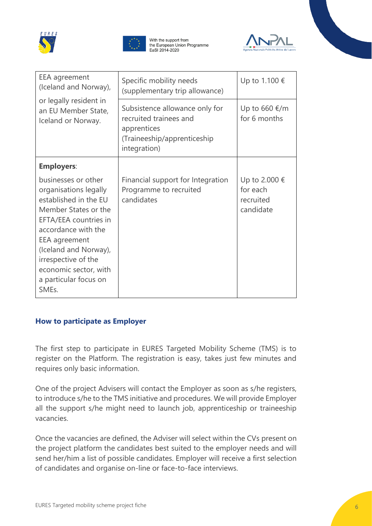



With the support from the European Union Programme EaSI 2014-2020



| EEA agreement<br>(Iceland and Norway),<br>or legally resident in<br>an EU Member State,<br>Iceland or Norway.                                                                                                                                                             | Specific mobility needs<br>(supplementary trip allowance)                                                              | Up to 1.100 €                                       |
|---------------------------------------------------------------------------------------------------------------------------------------------------------------------------------------------------------------------------------------------------------------------------|------------------------------------------------------------------------------------------------------------------------|-----------------------------------------------------|
|                                                                                                                                                                                                                                                                           | Subsistence allowance only for<br>recruited trainees and<br>apprentices<br>(Traineeship/apprenticeship<br>integration) | Up to 660 $€/m$<br>for 6 months                     |
| <b>Employers:</b>                                                                                                                                                                                                                                                         |                                                                                                                        |                                                     |
| businesses or other<br>organisations legally<br>established in the EU<br>Member States or the<br>EFTA/EEA countries in<br>accordance with the<br>EEA agreement<br>(Iceland and Norway),<br>irrespective of the<br>economic sector, with<br>a particular focus on<br>SMEs. | Financial support for Integration<br>Programme to recruited<br>candidates                                              | Up to 2.000 €<br>for each<br>recruited<br>candidate |

# **How to participate as Employer**

The first step to participate in EURES Targeted Mobility Scheme (TMS) is to register on the Platform. The registration is easy, takes just few minutes and requires only basic information.

One of the project Advisers will contact the Employer as soon as s/he registers, to introduce s/he to the TMS initiative and procedures. We will provide Employer all the support s/he might need to launch job, apprenticeship or traineeship vacancies.

Once the vacancies are defined, the Adviser will select within the CVs present on the project platform the candidates best suited to the employer needs and will send her/him a list of possible candidates. Employer will receive a first selection of candidates and organise on-line or face-to-face interviews.